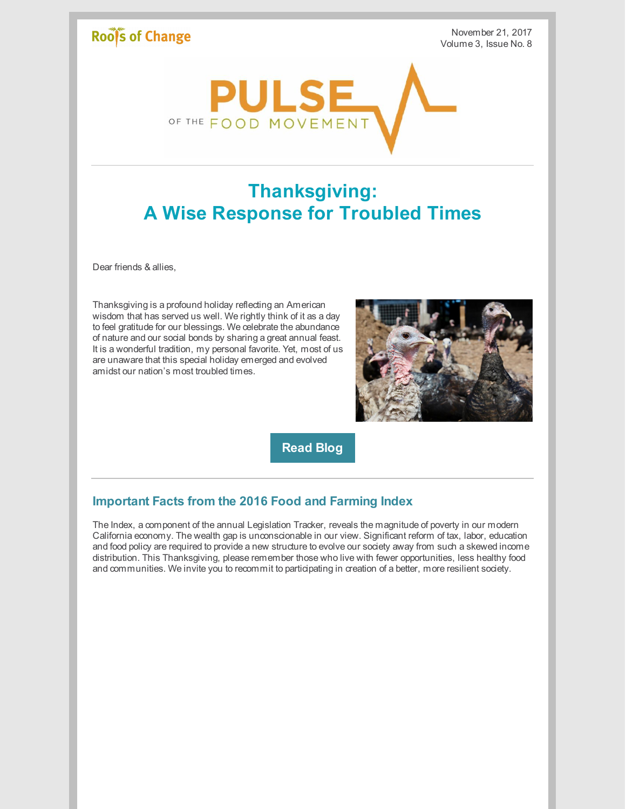### Roof's of Change

November 21, 2017 Volume 3, Issue No. 8



# **Thanksgiving: A Wise Response for Troubled Times**

Dear friends & allies,

Thanksgiving is a profound holiday reflecting an American wisdom that has served us well. We rightly think of it as a day to feel gratitude for our blessings. We celebrate the abundance of nature and our social bonds by sharing a great annual feast. It is a wonderful tradition, my personal favorite. Yet, most of us are unaware that this special holiday emerged and evolved amidst our nation's most troubled times.



**[Read](http://www.rootsofchange.org/blog/thanksgiving-wise-response-troubled-times/) Blog**

#### **Important Facts from the 2016 Food and Farming Index**

The Index, a component of the annual Legislation Tracker, reveals the magnitude of poverty in our modern California economy. The wealth gap is unconscionable in our view. Significant reform of tax, labor, education and food policy are required to provide a new structure to evolve our society away from such a skewed income distribution. This Thanksgiving, please remember those who live with fewer opportunities, less healthy food and communities. We invite you to recommit to participating in creation of a better, more resilient society.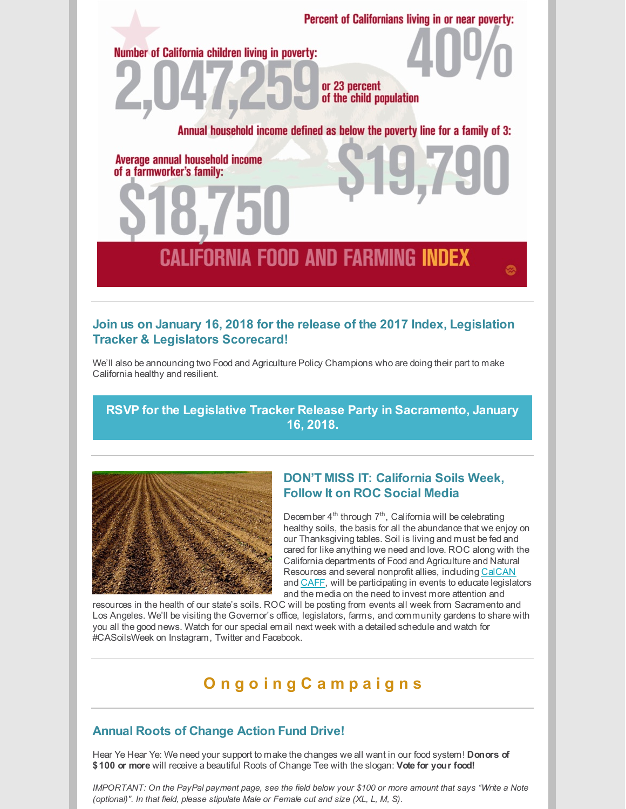

#### **Join us on January 16, 2018 for the release of the 2017 Index, Legislation Tracker & Legislators Scorecard!**

We'll also be announcing two Food and Agriculture Policy Champions who are doing their part to make California healthy and resilient.

**RSVP for the Legislative Tracker Release Party in [Sacramento,](https://www.eventbrite.com/e/2017-legislative-tracker-release-party-tickets-38416857856) January 16, 2018.**



#### **DON'T MISS IT: California Soils Week, Follow It on ROC Social Media**

December 4<sup>th</sup> through 7<sup>th</sup>, California will be celebrating healthy soils, the basis for all the abundance that we enjoy on our Thanksgiving tables. Soil is living and must be fed and cared for like anything we need and love. ROC along with the California departments of Food and Agriculture and Natural Resources and several nonprofit allies, including [CalCAN](http://calclimateag.org/) and [CAFF](http://www.caff.org/), will be participating in events to educate legislators and the media on the need to invest more attention and

resources in the health of our state's soils. ROC will be posting from events all week from Sacramento and Los Angeles. We'll be visiting the Governor's office, legislators, farms, and community gardens to share with you all the good news. Watch for our special email next week with a detailed schedule and watch for #CASoilsWeek on Instagram, Twitter and Facebook.

## **O n g o i n g C a m p a i g n s**

#### **Annual Roots of Change Action Fund Drive!**

Hear Ye Hear Ye: We need your support to make the changes we all want in our food system! **Donors of \$100 or more** will receive a beautiful Roots of Change Tee with the slogan: **Vote for your food!**

IMPORTANT: On the PayPal payment page, see the field below your \$100 or more amount that says "Write a Note *(optional)". In that field, please stipulate Male or Female cut and size (XL, L, M, S).*